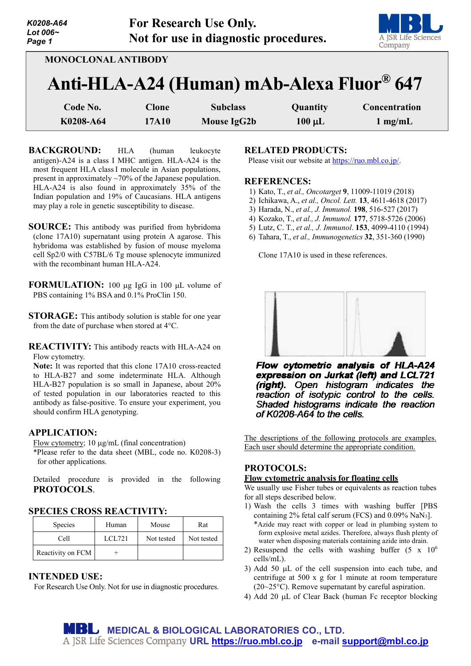| K0208-A64<br>Lot $006-$<br>Page 1 |              | For Research Use Only.<br>Not for use in diagnostic procedures. |             | A JSR Life Sciences<br>Company |
|-----------------------------------|--------------|-----------------------------------------------------------------|-------------|--------------------------------|
| <b>MONOCLONAL ANTIBODY</b>        |              | Anti-HLA-A24 (Human) mAb-Alexa Fluor® 647                       |             |                                |
| Code No.                          | <b>Clone</b> | <b>Subclass</b>                                                 | Quantity    | Concentration                  |
| K0208-A64                         | 17A10        | Mouse IgG2b                                                     | $100 \mu L$ | $1 \text{ mg/mL}$              |

**BACKGROUND:** HLA (human leukocyte antigen)-A24 is a class I MHC antigen. HLA-A24 is the most frequent HLA classI molecule in Asian populations, present in approximately ~70% of the Japanese population. HLA-A24 is also found in approximately 35% of the Indian population and 19% of Caucasians. HLA antigens may play a role in genetic susceptibility to disease.

**SOURCE:** This antibody was purified from hybridoma (clone 17A10) supernatant using protein A agarose. This hybridoma was established by fusion of mouse myeloma cell Sp2/0 with C57BL/6 Tg mouse splenocyte immunized with the recombinant human HLA-A24.

**FORMULATION:** 100 µg IgG in 100 µL volume of PBS containing 1% BSA and 0.1% ProClin 150.

**STORAGE:** This antibody solution is stable for one year from the date of purchase when stored at 4°C.

**REACTIVITY:** This antibody reacts with HLA-A24 on Flow cytometry.

**Note:** It was reported that this clone 17A10 cross-reacted to HLA-B27 and some indeterminate HLA. Although HLA-B27 population is so small in Japanese, about 20% of tested population in our laboratories reacted to this antibody as false-positive. To ensure your experiment, you should confirm HLA genotyping.

# **APPLICATION:**

Flow cytometry; 10 µg/mL (final concentration)

\*Please refer to the data sheet (MBL, code no. K0208-3) for other applications.

Detailed procedure is provided in the following **PROTOCOLS**.

# **SPECIES CROSS REACTIVITY:**

| Species           | Human  | Mouse      | Rat        |
|-------------------|--------|------------|------------|
| Cell              | LCL721 | Not tested | Not tested |
| Reactivity on FCM |        |            |            |

# **INTENDED USE:**

For Research Use Only. Not for use in diagnostic procedures.

# **RELATED PRODUCTS:**

Please visit our website at [https://ruo.mbl.co.jp/.](https://ruo.mbl.co.jp/)

#### **REFERENCES:**

- 1) Kato, T., *et al., Oncotarget* **9**, 11009-11019 (2018)
- 2) Ichikawa, A., *et al., Oncol. Lett.* **13**, 4611-4618 (2017)
- 3) Harada, N., *et al., J. Immunol.* **198**, 516-527 (2017)
- 4) Kozako, T., *et al., J. Immunol.* **177**, 5718-5726 (2006)
- 5) Lutz, C. T., *et al., J. Immunol*. **153**, 4099-4110 (1994)
- 6) Tahara, T., *et al., Immunogenetics* **32**, 351-360 (1990)

Clone 17A10 is used in these references.



Flow cytometric analysis of HLA-A24 expression on Jurkat (left) and LCL721 (right). Open histogram indicates the reaction of isotypic control to the cells.<br>Shaded histograms indicate the reaction of K0208-A64 to the cells.

The descriptions of the following protocols are examples. Each user should determine the appropriate condition.

# **PROTOCOLS:**

### **Flow cytometric analysis for floating cells**

We usually use Fisher tubes or equivalents as reaction tubes for all steps described below.

- 1) Wash the cells 3 times with washing buffer [PBS containing 2% fetal calf serum (FCS) and  $0.09\%$  NaN<sub>3</sub>].
- \*Azide may react with copper or lead in plumbing system to form explosive metal azides. Therefore, always flush plenty of water when disposing materials containing azide into drain.
- 2) Resuspend the cells with washing buffer  $(5 \times 10^6$ cells/mL).
- 3) Add 50 µL of the cell suspension into each tube, and centrifuge at  $500 \times g$  for 1 minute at room temperature (20~25°C). Remove supernatant by careful aspiration.
- 4) Add 20 µL of Clear Back (human Fc receptor blocking